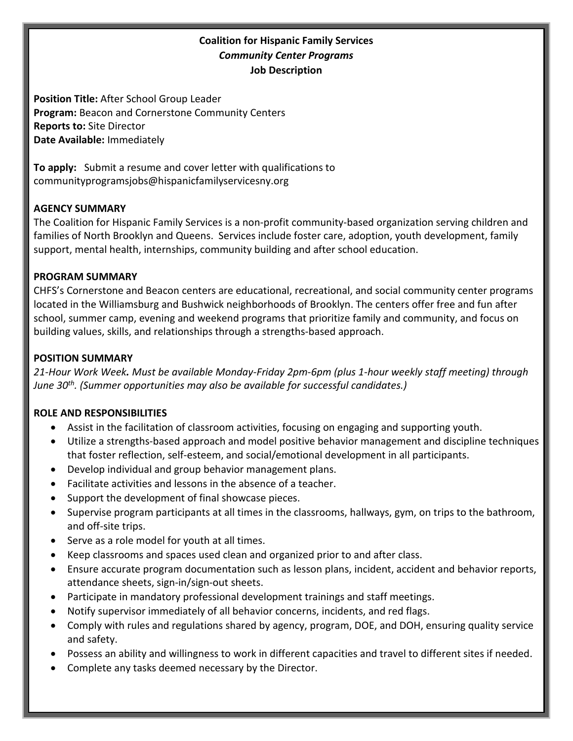## **Coalition for Hispanic Family Services** *Community Center Programs* **Job Description**

**Position Title:** After School Group Leader **Program:** Beacon and Cornerstone Community Centers **Reports to:** Site Director **Date Available:** Immediately

**To apply:** Submit a resume and cover letter with qualifications to communityprogramsjobs@hispanicfamilyservicesny.org

### **AGENCY SUMMARY**

The Coalition for Hispanic Family Services is a non-profit community-based organization serving children and families of North Brooklyn and Queens. Services include foster care, adoption, youth development, family support, mental health, internships, community building and after school education.

#### **PROGRAM SUMMARY**

CHFS's Cornerstone and Beacon centers are educational, recreational, and social community center programs located in the Williamsburg and Bushwick neighborhoods of Brooklyn. The centers offer free and fun after school, summer camp, evening and weekend programs that prioritize family and community, and focus on building values, skills, and relationships through a strengths-based approach.

#### **POSITION SUMMARY**

*21-Hour Work Week. Must be available Monday-Friday 2pm-6pm (plus 1-hour weekly staff meeting) through June 30th. (Summer opportunities may also be available for successful candidates.)*

#### **ROLE AND RESPONSIBILITIES**

- Assist in the facilitation of classroom activities, focusing on engaging and supporting youth.
- Utilize a strengths-based approach and model positive behavior management and discipline techniques that foster reflection, self-esteem, and social/emotional development in all participants.
- Develop individual and group behavior management plans.
- Facilitate activities and lessons in the absence of a teacher.
- Support the development of final showcase pieces.
- Supervise program participants at all times in the classrooms, hallways, gym, on trips to the bathroom, and off-site trips.
- Serve as a role model for youth at all times.
- Keep classrooms and spaces used clean and organized prior to and after class.
- Ensure accurate program documentation such as lesson plans, incident, accident and behavior reports, attendance sheets, sign-in/sign-out sheets.
- Participate in mandatory professional development trainings and staff meetings.
- Notify supervisor immediately of all behavior concerns, incidents, and red flags.
- Comply with rules and regulations shared by agency, program, DOE, and DOH, ensuring quality service and safety.
- Possess an ability and willingness to work in different capacities and travel to different sites if needed.
- Complete any tasks deemed necessary by the Director.